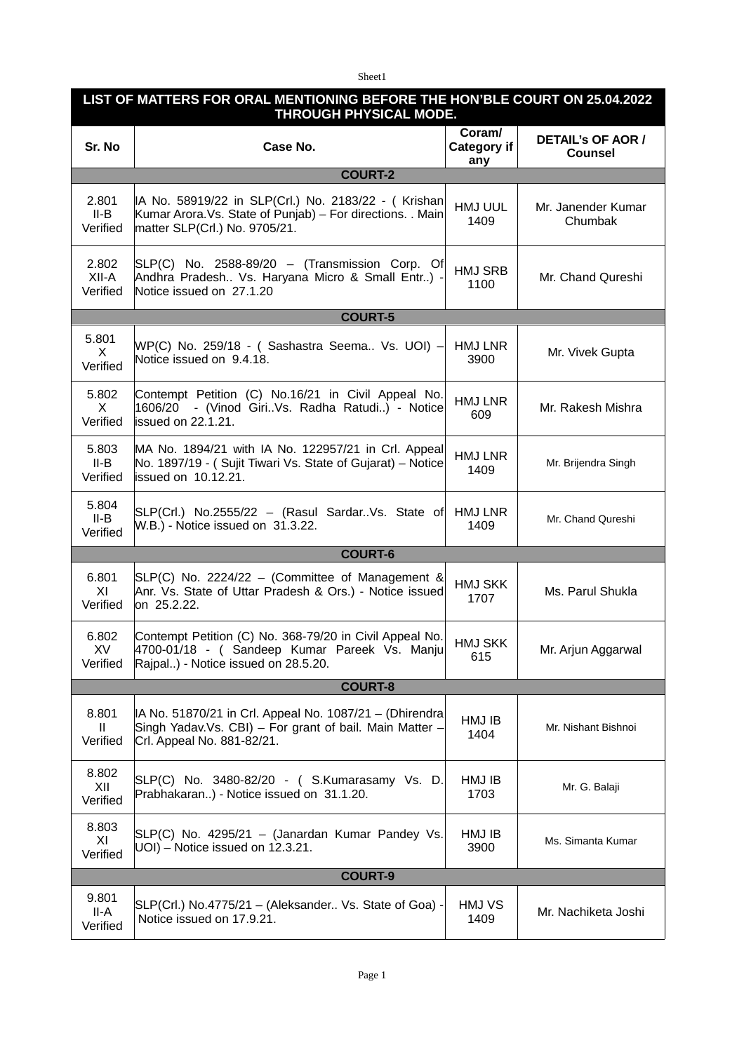Sheet1

| LIST OF MATTERS FOR ORAL MENTIONING BEFORE THE HON'BLE COURT ON 25.04.2022<br>THROUGH PHYSICAL MODE. |                                                                                                                                                     |                                     |                                            |  |  |
|------------------------------------------------------------------------------------------------------|-----------------------------------------------------------------------------------------------------------------------------------------------------|-------------------------------------|--------------------------------------------|--|--|
| Sr. No                                                                                               | Case No.                                                                                                                                            | Coram/<br><b>Category if</b><br>any | <b>DETAIL'S OF AOR /</b><br><b>Counsel</b> |  |  |
|                                                                                                      | <b>COURT-2</b>                                                                                                                                      |                                     |                                            |  |  |
| 2.801<br>II-B<br>Verified                                                                            | IA No. 58919/22 in SLP(Crl.) No. 2183/22 - ( Krishan<br>Kumar Arora. Vs. State of Punjab) - For directions. . Main<br>matter SLP(Crl.) No. 9705/21. | HMJ UUL<br>1409                     | Mr. Janender Kumar<br>Chumbak              |  |  |
| 2.802<br>XII-A<br>Verified                                                                           | $SLP(C)$ No. 2588-89/20 - (Transmission Corp. Of<br>Andhra Pradesh Vs. Haryana Micro & Small Entr) -<br>Notice issued on 27.1.20                    | <b>HMJ SRB</b><br>1100              | Mr. Chand Qureshi                          |  |  |
|                                                                                                      | <b>COURT-5</b>                                                                                                                                      |                                     |                                            |  |  |
| 5.801<br>X.<br>Verified                                                                              | WP(C) No. 259/18 - ( Sashastra Seema Vs. UOI) –<br>Notice issued on 9.4.18.                                                                         | HMJ LNR<br>3900                     | Mr. Vivek Gupta                            |  |  |
| 5.802<br>X<br>Verified                                                                               | Contempt Petition (C) No.16/21 in Civil Appeal No.<br>1606/20 - (Vinod GiriVs. Radha Ratudi) - Notice<br>lissued on 22.1.21.                        | <b>HMJ LNR</b><br>609               | Mr. Rakesh Mishra                          |  |  |
| 5.803<br>II-B<br>Verified                                                                            | MA No. 1894/21 with IA No. 122957/21 in Crl. Appeal<br>No. 1897/19 - (Sujit Tiwari Vs. State of Gujarat) - Notice<br>issued on 10.12.21.            | HMJ LNR<br>1409                     | Mr. Brijendra Singh                        |  |  |
| 5.804<br>II-B<br>Verified                                                                            | SLP(Crl.) No.2555/22 - (Rasul SardarVs. State of<br>W.B.) - Notice issued on 31.3.22.                                                               | HMJ LNR<br>1409                     | Mr. Chand Qureshi                          |  |  |
|                                                                                                      | <b>COURT-6</b>                                                                                                                                      |                                     |                                            |  |  |
| 6.801<br>XI<br>Verified                                                                              | $SLP(C)$ No. 2224/22 – (Committee of Management &<br>Anr. Vs. State of Uttar Pradesh & Ors.) - Notice issued<br>on 25.2.22.                         | HMJ SKK<br>1707                     | Ms. Parul Shukla                           |  |  |
| 6.802<br>XV<br>Verified                                                                              | Contempt Petition (C) No. 368-79/20 in Civil Appeal No.<br>4700-01/18 - (Sandeep Kumar Pareek Vs. Manju<br>Rajpal) - Notice issued on 28.5.20.      | <b>HMJ SKK</b><br>615               | Mr. Arjun Aggarwal                         |  |  |
|                                                                                                      | <b>COURT-8</b>                                                                                                                                      |                                     |                                            |  |  |
| 8.801<br>H.<br>Verified                                                                              | IA No. 51870/21 in Crl. Appeal No. 1087/21 - (Dhirendra<br>Singh Yadav.Vs. CBI) - For grant of bail. Main Matter -<br>Crl. Appeal No. 881-82/21.    | HMJ IB<br>1404                      | Mr. Nishant Bishnoi                        |  |  |
| 8.802<br>XII<br>Verified                                                                             | SLP(C) No. 3480-82/20 - ( S.Kumarasamy Vs. D.<br>Prabhakaran) - Notice issued on 31.1.20.                                                           | HMJ IB<br>1703                      | Mr. G. Balaji                              |  |  |
| 8.803<br>XI<br>Verified                                                                              | SLP(C) No. 4295/21 - (Janardan Kumar Pandey Vs.<br>UOI) - Notice issued on 12.3.21.                                                                 | HMJ IB<br>3900                      | Ms. Simanta Kumar                          |  |  |
| <b>COURT-9</b>                                                                                       |                                                                                                                                                     |                                     |                                            |  |  |
| 9.801<br>II-A<br>Verified                                                                            | SLP(Crl.) No.4775/21 - (Aleksander Vs. State of Goa) -<br>Notice issued on 17.9.21.                                                                 | HMJ VS<br>1409                      | Mr. Nachiketa Joshi                        |  |  |